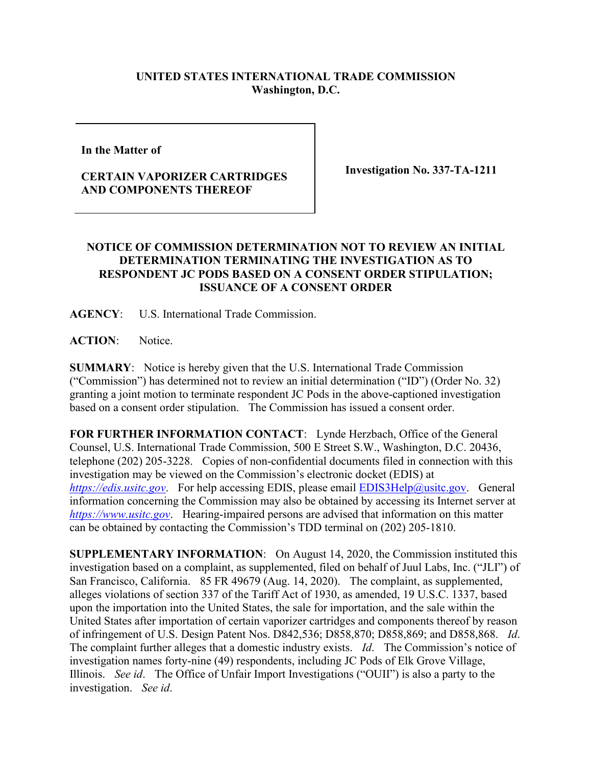## **UNITED STATES INTERNATIONAL TRADE COMMISSION Washington, D.C.**

**In the Matter of** 

## **CERTAIN VAPORIZER CARTRIDGES AND COMPONENTS THEREOF**

**Investigation No. 337-TA-1211**

## **NOTICE OF COMMISSION DETERMINATION NOT TO REVIEW AN INITIAL DETERMINATION TERMINATING THE INVESTIGATION AS TO RESPONDENT JC PODS BASED ON A CONSENT ORDER STIPULATION; ISSUANCE OF A CONSENT ORDER**

**AGENCY**: U.S. International Trade Commission.

**ACTION**: Notice.

**SUMMARY**: Notice is hereby given that the U.S. International Trade Commission ("Commission") has determined not to review an initial determination ("ID") (Order No. 32) granting a joint motion to terminate respondent JC Pods in the above-captioned investigation based on a consent order stipulation. The Commission has issued a consent order.

**FOR FURTHER INFORMATION CONTACT**: Lynde Herzbach, Office of the General Counsel, U.S. International Trade Commission, 500 E Street S.W., Washington, D.C. 20436, telephone (202) 205-3228. Copies of non-confidential documents filed in connection with this investigation may be viewed on the Commission's electronic docket (EDIS) at *[https://edis.usitc.gov](https://edis.usitc.gov/).* For help accessing EDIS, please email [EDIS3Help@usitc.gov.](mailto:EDIS3Help@usitc.gov) General information concerning the Commission may also be obtained by accessing its Internet server at *[https://www.usitc.gov](https://www.usitc.gov/)*. Hearing-impaired persons are advised that information on this matter can be obtained by contacting the Commission's TDD terminal on (202) 205-1810.

**SUPPLEMENTARY INFORMATION**: On August 14, 2020, the Commission instituted this investigation based on a complaint, as supplemented, filed on behalf of Juul Labs, Inc. ("JLI") of San Francisco, California. 85 FR 49679 (Aug. 14, 2020). The complaint, as supplemented, alleges violations of section 337 of the Tariff Act of 1930, as amended, 19 U.S.C. 1337, based upon the importation into the United States, the sale for importation, and the sale within the United States after importation of certain vaporizer cartridges and components thereof by reason of infringement of U.S. Design Patent Nos. D842,536; D858,870; D858,869; and D858,868. *Id*. The complaint further alleges that a domestic industry exists. *Id*. The Commission's notice of investigation names forty-nine (49) respondents, including JC Pods of Elk Grove Village, Illinois. *See id*. The Office of Unfair Import Investigations ("OUII") is also a party to the investigation. *See id*.